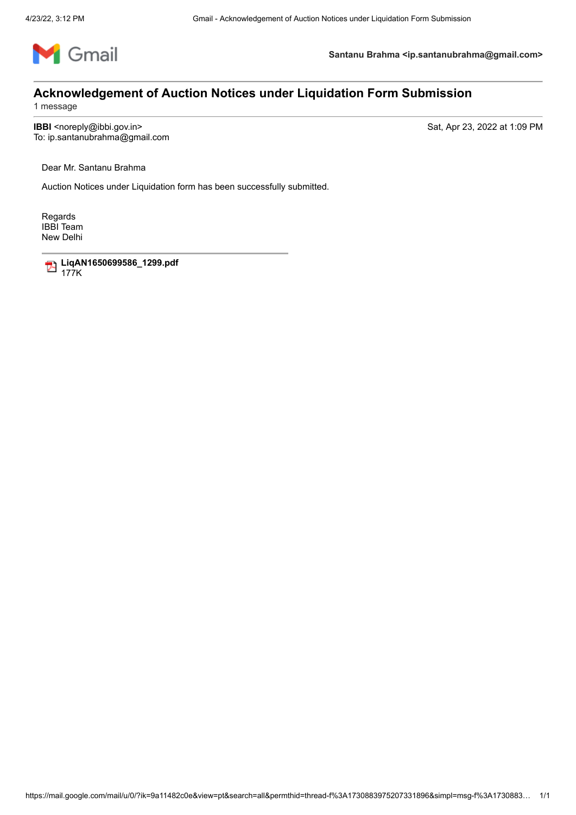

**Santanu Brahma <ip.santanubrahma@gmail.com>**

## **Acknowledgement of Auction Notices under Liquidation Form Submission**

1 message

**IBBI** <noreply@ibbi.gov.in> Sat, Apr 23, 2022 at 1:09 PM

To: ip.santanubrahma@gmail.com

Dear Mr. Santanu Brahma

Auction Notices under Liquidation form has been successfully submitted.

Regards IBBI Team New Delhi

> **LiqAN1650699586\_1299.pdf** 177K